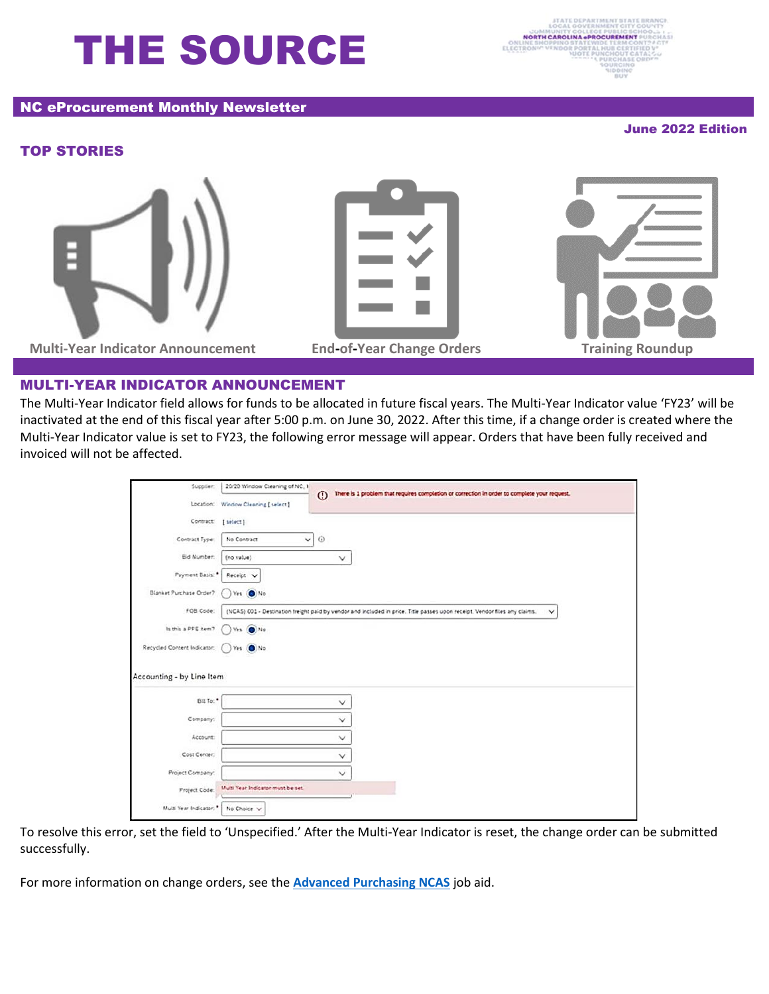# THE SOURCE

#### NC eProcurement Monthly Newsletter

June 2022 Edition

## TOP STORIES



**Multi-Year Indicator Announcement End-of-Year Change Orders Training Roundup**



## MULTI-YEAR INDICATOR ANNOUNCEMENT

The Multi-Year Indicator field allows for funds to be allocated in future fiscal years. The Multi-Year Indicator value 'FY23' will be inactivated at the end of this fiscal year after 5:00 p.m. on June 30, 2022. After this time, if a change order is created where the Multi-Year Indicator value is set to FY23, the following error message will appear. Orders that have been fully received and invoiced will not be affected.

| Supplier:                      | 20/20 Window Cleaning of NC, 1                                                                                                             |                                                                                                         |  |
|--------------------------------|--------------------------------------------------------------------------------------------------------------------------------------------|---------------------------------------------------------------------------------------------------------|--|
|                                |                                                                                                                                            | There is 1 problem that requires completion or correction in order to complete your request.<br>$\odot$ |  |
|                                | Location: Window Cleaning [select]                                                                                                         |                                                                                                         |  |
| Contract                       | [ select]                                                                                                                                  |                                                                                                         |  |
| Contract Type:                 | $\vee$<br>No Contract                                                                                                                      | $\odot$                                                                                                 |  |
| <b>Bid Number:</b>             | (no value)                                                                                                                                 | v.                                                                                                      |  |
| Payment Basis:                 | Receipt V                                                                                                                                  |                                                                                                         |  |
| <b>Blanket Purchase Order?</b> | Yes ONo                                                                                                                                    |                                                                                                         |  |
| FOB Code:                      | (NCA5) 001 - Destination freight paid by vendor and included in price. Title passes upon receipt. Vendor files any claims.<br>$\checkmark$ |                                                                                                         |  |
| Is this a PPE item?            | Ves () No                                                                                                                                  |                                                                                                         |  |
| Recycled Content Indicator:    | ) Yes (O) No                                                                                                                               |                                                                                                         |  |
| Accounting - by Line Item      |                                                                                                                                            |                                                                                                         |  |
| Bill To:                       |                                                                                                                                            | v                                                                                                       |  |
|                                |                                                                                                                                            |                                                                                                         |  |
| Company:                       |                                                                                                                                            | $\checkmark$                                                                                            |  |
| Account:                       |                                                                                                                                            | v                                                                                                       |  |
| Cost Center:                   |                                                                                                                                            | $\checkmark$                                                                                            |  |
| Project Company:               |                                                                                                                                            | $\checkmark$                                                                                            |  |
| Project Code:                  | Mutti Year Indicator must be set.                                                                                                          |                                                                                                         |  |
| Muit Year Indicator:           | No Choice V                                                                                                                                |                                                                                                         |  |

To resolve this error, set the field to 'Unspecified.' After the Multi-Year Indicator is reset, the change order can be submitted successfully.

For more information on change orders, see the **[Advanced Purchasing NCAS](https://eprocurement.nc.gov/media/243/download?attachment)** job aid.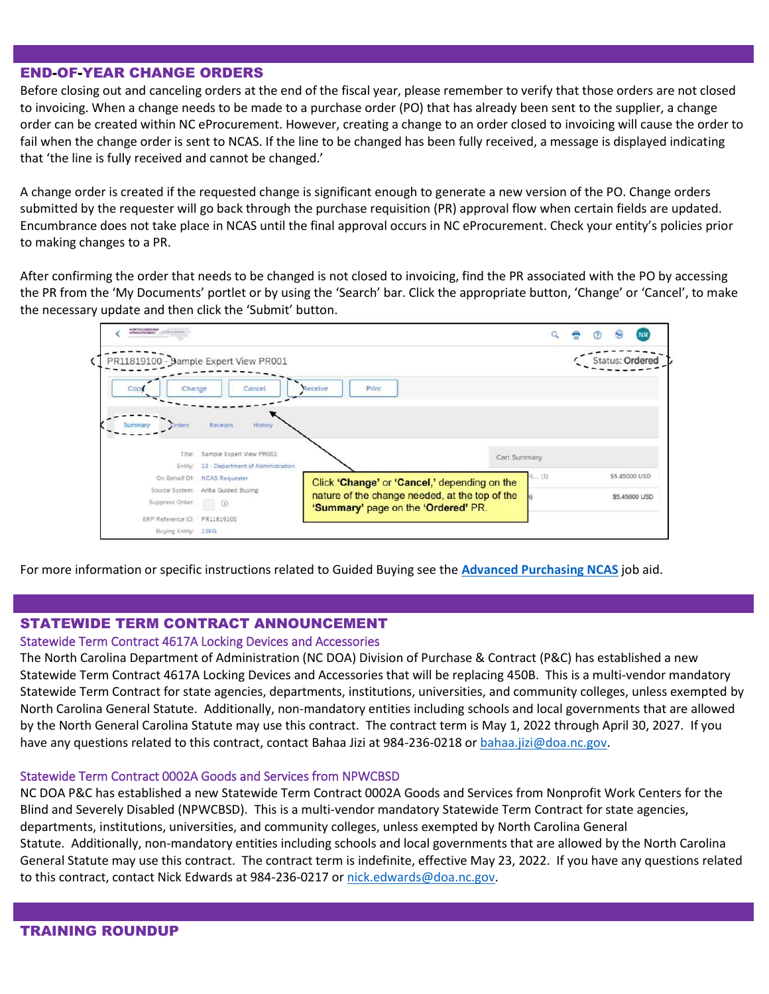#### END-OF-YEAR CHANGE ORDERS

Before closing out and canceling orders at the end of the fiscal year, please remember to verify that those orders are not closed to invoicing. When a change needs to be made to a purchase order (PO) that has already been sent to the supplier, a change order can be created within NC eProcurement. However, creating a change to an order closed to invoicing will cause the order to fail when the change order is sent to NCAS. If the line to be changed has been fully received, a message is displayed indicating that 'the line is fully received and cannot be changed.'

A change order is created if the requested change is significant enough to generate a new version of the PO. Change orders submitted by the requester will go back through the purchase requisition (PR) approval flow when certain fields are updated. Encumbrance does not take place in NCAS until the final approval occurs in NC eProcurement. Check your entity's policies prior to making changes to a PR.

After confirming the order that needs to be changed is not closed to invoicing, find the PR associated with the PO by accessing the PR from the 'My Documents' portlet or by using the 'Search' bar. Click the appropriate button, 'Change' or 'Cancel', to make the necessary update and then click the 'Submit' button.



For more information or specific instructions related to Guided Buying see the **[Advanced Purchasing NCAS](https://eprocurement.nc.gov/media/243/download?attachment)** job aid.

## STATEWIDE TERM CONTRACT ANNOUNCEMENT

#### Statewide Term Contract 4617A Locking Devices and Accessories

The North Carolina Department of Administration (NC DOA) Division of Purchase & Contract (P&C) has established a new Statewide Term Contract 4617A Locking Devices and Accessories that will be replacing 450B. This is a multi-vendor mandatory Statewide Term Contract for state agencies, departments, institutions, universities, and community colleges, unless exempted by North Carolina General Statute. Additionally, non-mandatory entities including schools and local governments that are allowed by the North General Carolina Statute may use this contract. The contract term is May 1, 2022 through April 30, 2027. If you have any questions related to this contract, contact Bahaa Jizi at 984-236-0218 or [bahaa.jizi@doa.nc.gov.](mailto:bahaa.jizi@doa.nc.gov)

#### Statewide Term Contract 0002A Goods and Services from NPWCBSD

NC DOA P&C has established a new Statewide Term Contract 0002A Goods and Services from Nonprofit Work Centers for the Blind and Severely Disabled (NPWCBSD). This is a multi-vendor mandatory Statewide Term Contract for state agencies, departments, institutions, universities, and community colleges, unless exempted by North Carolina General Statute. Additionally, non-mandatory entities including schools and local governments that are allowed by the North Carolina General Statute may use this contract. The contract term is indefinite, effective May 23, 2022. If you have any questions related to this contract, contact Nick Edwards at 984-236-0217 o[r nick.edwards@doa.nc.gov.](mailto:nick.edwards@doa.nc.gov)